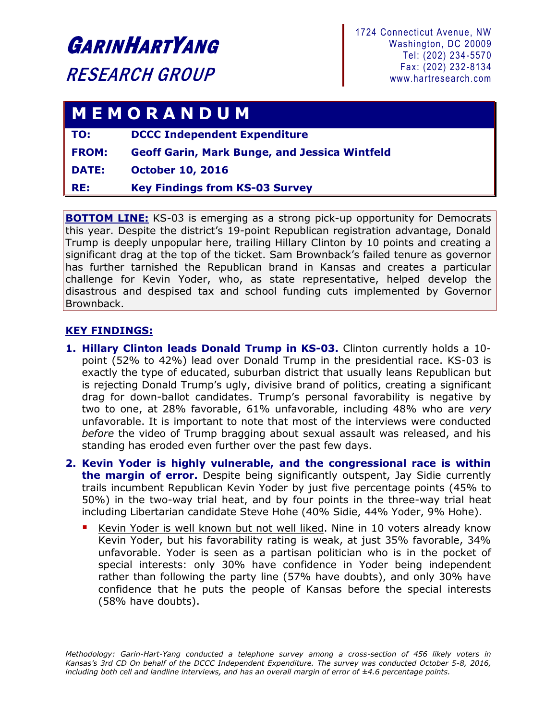## <sup>G</sup>ARINHARTYANG RESEARCH GROUP

1724 Connecticut Avenue, NW Washington, DC 20009 Tel: (202) 234-5570 Fax: (202) 232-8134 www.hartresearch.com

## **M E M O R A N D U M**

| TO:          | <b>DCCC Independent Expenditure</b>                  |
|--------------|------------------------------------------------------|
| <b>FROM:</b> | <b>Geoff Garin, Mark Bunge, and Jessica Wintfeld</b> |
| <b>DATE:</b> | <b>October 10, 2016</b>                              |
| RE:          | <b>Key Findings from KS-03 Survey</b>                |

**BOTTOM LINE:** KS-03 is emerging as a strong pick-up opportunity for Democrats this year. Despite the district's 19-point Republican registration advantage, Donald Trump is deeply unpopular here, trailing Hillary Clinton by 10 points and creating a significant drag at the top of the ticket. Sam Brownback's failed tenure as governor has further tarnished the Republican brand in Kansas and creates a particular challenge for Kevin Yoder, who, as state representative, helped develop the disastrous and despised tax and school funding cuts implemented by Governor Brownback.

## **KEY FINDINGS:**

- **1. Hillary Clinton leads Donald Trump in KS-03.** Clinton currently holds a 10 point (52% to 42%) lead over Donald Trump in the presidential race. KS-03 is exactly the type of educated, suburban district that usually leans Republican but is rejecting Donald Trump's ugly, divisive brand of politics, creating a significant drag for down-ballot candidates. Trump's personal favorability is negative by two to one, at 28% favorable, 61% unfavorable, including 48% who are *very* unfavorable. It is important to note that most of the interviews were conducted *before* the video of Trump bragging about sexual assault was released, and his standing has eroded even further over the past few days.
- **2. Kevin Yoder is highly vulnerable, and the congressional race is within the margin of error.** Despite being significantly outspent, Jay Sidie currently trails incumbent Republican Kevin Yoder by just five percentage points (45% to 50%) in the two-way trial heat, and by four points in the three-way trial heat including Libertarian candidate Steve Hohe (40% Sidie, 44% Yoder, 9% Hohe).
	- Kevin Yoder is well known but not well liked. Nine in 10 voters already know Kevin Yoder, but his favorability rating is weak, at just 35% favorable, 34% unfavorable. Yoder is seen as a partisan politician who is in the pocket of special interests: only 30% have confidence in Yoder being independent rather than following the party line (57% have doubts), and only 30% have confidence that he puts the people of Kansas before the special interests (58% have doubts).

*Methodology: Garin-Hart-Yang conducted a telephone survey among a cross-section of 456 likely voters in Kansas's 3rd CD On behalf of the DCCC Independent Expenditure. The survey was conducted October 5-8, 2016, including both cell and landline interviews, and has an overall margin of error of ±4.6 percentage points.*